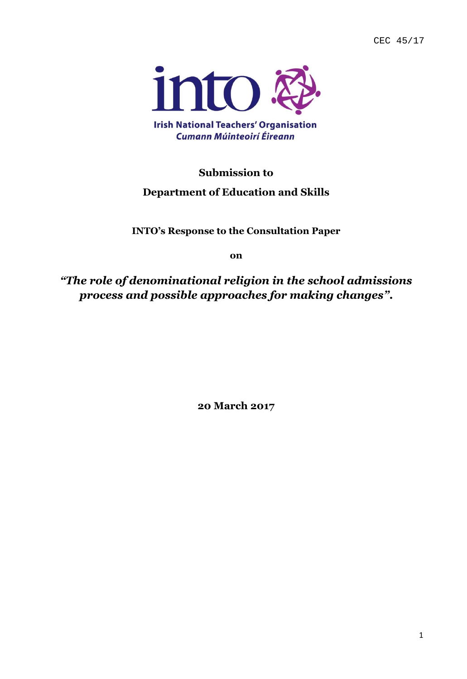CEC 45/17



# **Submission to**

# **Department of Education and Skills**

**INTO's Response to the Consultation Paper**

**on**

*"The role of denominational religion in the school admissions process and possible approaches for making changes"***.**

**20 March 2017**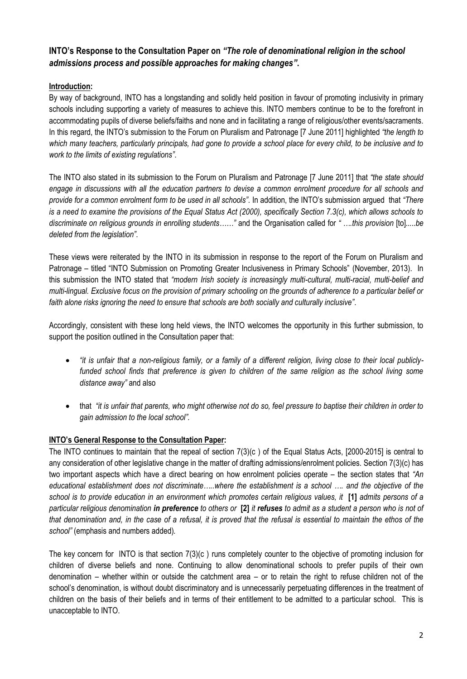## **INTO's Response to the Consultation Paper on** *"The role of denominational religion in the school admissions process and possible approaches for making changes"***.**

### **Introduction:**

By way of background, INTO has a longstanding and solidly held position in favour of promoting inclusivity in primary schools including supporting a variety of measures to achieve this. INTO members continue to be to the forefront in accommodating pupils of diverse beliefs/faiths and none and in facilitating a range of religious/other events/sacraments. In this regard, the INTO's submission to the Forum on Pluralism and Patronage [7 June 2011] highlighted *"the length to which many teachers, particularly principals, had gone to provide a school place for every child, to be inclusive and to work to the limits of existing regulations"*.

The INTO also stated in its submission to the Forum on Pluralism and Patronage [7 June 2011] that *"the state should engage in discussions with all the education partners to devise a common enrolment procedure for all schools and provide for a common enrolment form to be used in all schools".* In addition, the INTO's submission argued that *"There is a need to examine the provisions of the Equal Status Act (2000), specifically Section 7.3(c), which allows schools to discriminate on religious grounds in enrolling students……"* and the Organisation called for *" ….this provision* [to]*.....be deleted from the legislation"*.

These views were reiterated by the INTO in its submission in response to the report of the Forum on Pluralism and Patronage – titled "INTO Submission on Promoting Greater Inclusiveness in Primary Schools" (November, 2013). In this submission the INTO stated that *"modern Irish society is increasingly multi-cultural, multi-racial, multi-belief and multi-lingual. Exclusive focus on the provision of primary schooling on the grounds of adherence to a particular belief or faith alone risks ignoring the need to ensure that schools are both socially and culturally inclusive"*.

Accordingly, consistent with these long held views, the INTO welcomes the opportunity in this further submission, to support the position outlined in the Consultation paper that:

- *"it is unfair that a non-religious family, or a family of a different religion, living close to their local publicly*funded school finds that preference is given to children of the same religion as the school living some *distance away"* and also
- that *"it is unfair that parents, who might otherwise not do so, feel pressure to baptise their children in order to gain admission to the local school".*

### **INTO's General Response to the Consultation Paper:**

The INTO continues to maintain that the repeal of section 7(3)(c ) of the Equal Status Acts, [2000-2015] is central to any consideration of other legislative change in the matter of drafting admissions/enrolment policies. Section 7(3)(c) has two important aspects which have a direct bearing on how enrolment policies operate – the section states that *"An educational establishment does not discriminate…..where the establishment is a school …. and the objective of the school is to provide education in an environment which promotes certain religious values, it* **[1]** *admits persons of a particular religious denomination in preference to others or* **[2]** *it refuses to admit as a student a person who is not of that denomination and, in the case of a refusal, it is proved that the refusal is essential to maintain the ethos of the school"* (emphasis and numbers added)*.*

The key concern for INTO is that section 7(3)(c ) runs completely counter to the objective of promoting inclusion for children of diverse beliefs and none. Continuing to allow denominational schools to prefer pupils of their own denomination – whether within or outside the catchment area – or to retain the right to refuse children not of the school's denomination, is without doubt discriminatory and is unnecessarily perpetuating differences in the treatment of children on the basis of their beliefs and in terms of their entitlement to be admitted to a particular school. This is unacceptable to INTO.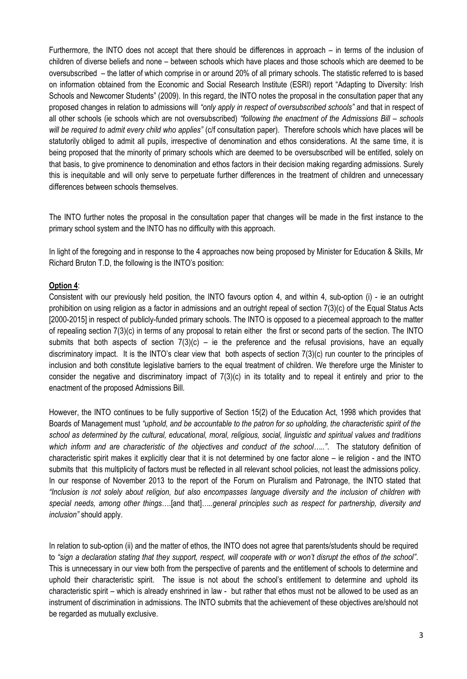Furthermore, the INTO does not accept that there should be differences in approach – in terms of the inclusion of children of diverse beliefs and none – between schools which have places and those schools which are deemed to be oversubscribed – the latter of which comprise in or around 20% of all primary schools. The statistic referred to is based on information obtained from the Economic and Social Research Institute (ESRI) report "Adapting to Diversity: Irish Schools and Newcomer Students" (2009). In this regard, the INTO notes the proposal in the consultation paper that any proposed changes in relation to admissions will *"only apply in respect of oversubscribed schools"* and that in respect of all other schools (ie schools which are not oversubscribed) "following the enactment of the Admissions Bill - schools *will be required to admit every child who applies"* (c/f consultation paper). Therefore schools which have places will be statutorily obliged to admit all pupils, irrespective of denomination and ethos considerations. At the same time, it is being proposed that the minority of primary schools which are deemed to be oversubscribed will be entitled, solely on that basis, to give prominence to denomination and ethos factors in their decision making regarding admissions. Surely this is inequitable and will only serve to perpetuate further differences in the treatment of children and unnecessary differences between schools themselves.

The INTO further notes the proposal in the consultation paper that changes will be made in the first instance to the primary school system and the INTO has no difficulty with this approach.

In light of the foregoing and in response to the 4 approaches now being proposed by Minister for Education & Skills, Mr Richard Bruton T.D, the following is the INTO's position:

#### **Option 4**:

Consistent with our previously held position, the INTO favours option 4, and within 4, sub-option (i) - ie an outright prohibition on using religion as a factor in admissions and an outright repeal of section 7(3)(c) of the Equal Status Acts [2000-2015] in respect of publicly-funded primary schools. The INTO is opposed to a piecemeal approach to the matter of repealing section 7(3)(c) in terms of any proposal to retain either the first or second parts of the section. The INTO submits that both aspects of section  $7(3)(c)$  – ie the preference and the refusal provisions, have an equally discriminatory impact. It is the INTO's clear view that both aspects of section 7(3)(c) run counter to the principles of inclusion and both constitute legislative barriers to the equal treatment of children. We therefore urge the Minister to consider the negative and discriminatory impact of 7(3)(c) in its totality and to repeal it entirely and prior to the enactment of the proposed Admissions Bill.

However, the INTO continues to be fully supportive of Section 15(2) of the Education Act, 1998 which provides that Boards of Management must *"uphold, and be accountable to the patron for so upholding, the characteristic spirit of the school as determined by the cultural, educational, moral, religious, social, linguistic and spiritual values and traditions which inform and are characteristic of the objectives and conduct of the school….."*. The statutory definition of characteristic spirit makes it explicitly clear that it is not determined by one factor alone – ie religion - and the INTO submits that this multiplicity of factors must be reflected in all relevant school policies, not least the admissions policy. In our response of November 2013 to the report of the Forum on Pluralism and Patronage, the INTO stated that *"Inclusion is not solely about religion, but also encompasses language diversity and the inclusion of children with special needs, among other things*….[and that]*…..general principles such as respect for partnership, diversity and inclusion"* should apply.

In relation to sub-option (ii) and the matter of ethos, the INTO does not agree that parents/students should be required to *"sign a declaration stating that they support, respect, will cooperate with or won't disrupt the ethos of the school"*. This is unnecessary in our view both from the perspective of parents and the entitlement of schools to determine and uphold their characteristic spirit. The issue is not about the school's entitlement to determine and uphold its characteristic spirit – which is already enshrined in law - but rather that ethos must not be allowed to be used as an instrument of discrimination in admissions. The INTO submits that the achievement of these objectives are/should not be regarded as mutually exclusive.